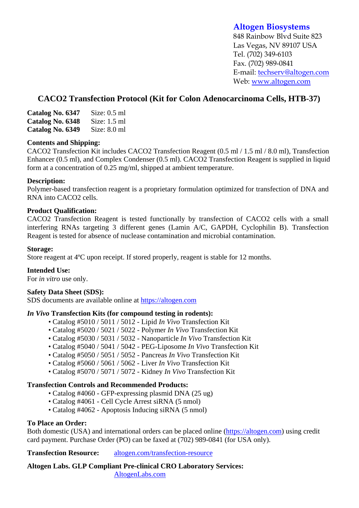# **Altogen Biosystems**

848 Rainbow Blvd Suite 823 Las Vegas, NV 89107 USA Tel. (702) 349-6103 Fax. (702) 989-0841 E-mail: techserv@altogen.com Web: www.altogen.com

# **CACO2 Transfection Protocol (Kit for Colon Adenocarcinoma Cells, HTB-37)**

| Catalog No. 6347 | Size: $0.5$ ml |
|------------------|----------------|
| Catalog No. 6348 | Size: $1.5$ ml |
| Catalog No. 6349 | Size: $8.0$ ml |

#### **Contents and Shipping:**

CACO2 Transfection Kit includes CACO2 Transfection Reagent (0.5 ml / 1.5 ml / 8.0 ml), Transfection Enhancer (0.5 ml), and Complex Condenser (0.5 ml). CACO2 Transfection Reagent is supplied in liquid form at a concentration of 0.25 mg/ml, shipped at ambient temperature.

### **Description:**

Polymer-based transfection reagent is a proprietary formulation optimized for transfection of DNA and RNA into CACO2 cells.

### **Product Qualification:**

CACO2 Transfection Reagent is tested functionally by transfection of CACO2 cells with a small interfering RNAs targeting 3 different genes (Lamin A/C, GAPDH, Cyclophilin B). Transfection Reagent is tested for absence of nuclease contamination and microbial contamination.

#### **Storage:**

Store reagent at 4ºC upon receipt. If stored properly, reagent is stable for 12 months.

#### **Intended Use:**

For *in vitro* use only.

#### **Safety Data Sheet (SDS):**

SDS documents are available online at https://altogen.com

#### *In Vivo* **Transfection Kits (for compound testing in rodents):**

- Catalog #5010 / 5011 / 5012 Lipid *In Vivo* Transfection Kit
- Catalog #5020 / 5021 / 5022 Polymer *In Vivo* Transfection Kit
- Catalog #5030 / 5031 / 5032 Nanoparticle *In Vivo* Transfection Kit
- Catalog #5040 / 5041 / 5042 PEG-Liposome *In Vivo* Transfection Kit
- Catalog #5050 / 5051 / 5052 Pancreas *In Vivo* Transfection Kit
- Catalog #5060 / 5061 / 5062 Liver *In Vivo* Transfection Kit
- Catalog #5070 / 5071 / 5072 Kidney *In Vivo* Transfection Kit

## **Transfection Controls and Recommended Products:**

- Catalog #4060 GFP-expressing plasmid DNA (25 ug)
- Catalog #4061 Cell Cycle Arrest siRNA (5 nmol)
- Catalog #4062 Apoptosis Inducing siRNA (5 nmol)

## **To Place an Order:**

Both domestic (USA) and international orders can be placed online (https://altogen.com) using credit card payment. Purchase Order (PO) can be faxed at (702) 989-0841 (for USA only).

**Transfection Resource:** altogen.com/transfection-resource

**Altogen Labs. GLP Compliant Pre-clinical CRO Laboratory Services:**  AltogenLabs.com